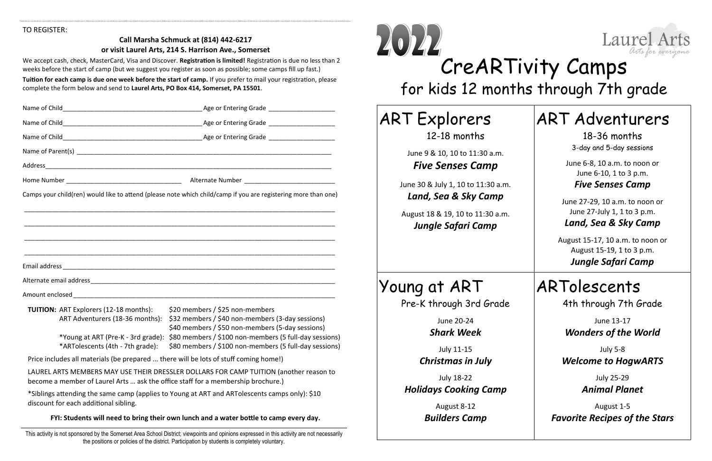#### TO REGISTER:

#### **Call Marsha Schmuck at (814) 442-6217 or visit Laurel Arts, 214 S. Harrison Ave., Somerset**

We accept cash, check, MasterCard, Visa and Discover. **Registration is limited!** Registration is due no less than 2 weeks before the start of camp (but we suggest you register as soon as possible; some camps fill up fast.)

**Tuition for each camp is due one week before the start of camp.** If you prefer to mail your registration, please complete the form below and send to **Laurel Arts, PO Box 414, Somerset, PA 15501**.

|                                                                                      | Name of Child <b>Child Child Contained Age of Entering Grade Contained Age or Entering Grade</b>                                        |
|--------------------------------------------------------------------------------------|-----------------------------------------------------------------------------------------------------------------------------------------|
|                                                                                      |                                                                                                                                         |
|                                                                                      |                                                                                                                                         |
|                                                                                      |                                                                                                                                         |
|                                                                                      |                                                                                                                                         |
|                                                                                      |                                                                                                                                         |
|                                                                                      | Camps your child(ren) would like to attend (please note which child/camp if you are registering more than one)                          |
|                                                                                      |                                                                                                                                         |
|                                                                                      |                                                                                                                                         |
|                                                                                      |                                                                                                                                         |
|                                                                                      |                                                                                                                                         |
|                                                                                      |                                                                                                                                         |
|                                                                                      |                                                                                                                                         |
|                                                                                      |                                                                                                                                         |
|                                                                                      |                                                                                                                                         |
| <b>TUITION: ART Explorers (12-18 months):</b><br>ART Adventurers (18-36 months):     | \$20 members / \$25 non-members<br>\$32 members / \$40 non-members (3-day sessions)<br>\$40 members / \$50 non-members (5-day sessions) |
| *Young at ART (Pre-K - 3rd grade):<br>*ARTolescents (4th - 7th grade):               | \$80 members / \$100 non-members (5 full-day sessions)<br>\$80 members / \$100 non-members (5 full-day sessions)                        |
| Price includes all materials (be prepared  there will be lots of stuff coming home!) |                                                                                                                                         |
| become a member of Laurel Arts  ask the office staff for a membership brochure.)     | LAUREL ARTS MEMBERS MAY USE THEIR DRESSLER DOLLARS FOR CAMP TUITION (another reason to                                                  |
| discount for each additional sibling.                                                | *Siblings attending the same camp (applies to Young at ART and ARTolescents camps only): \$10                                           |
|                                                                                      |                                                                                                                                         |

**FYI: Students will need to bring their own lunch and a water bottle to camp every day.**

This activity is not sponsored by the Somerset Area School District; viewpoints and opinions expressed in this activity are not necessarily the positions or policies of the district. Participation by students is completely voluntary.



# CreARTivity Camps for kids 12 months through 7th grade

| <b>ART Explorers</b>                                          |
|---------------------------------------------------------------|
| 12-18 months                                                  |
| June 9 & 10, 10 to 11:30 a.m.<br><b>Five Senses Camp</b>      |
| June 30 & July 1, 10 to 11:30 a.m.<br>Land, Sea & Sky Camp    |
| August 18 & 19, 10 to 11:30 a.m.<br><b>Jungle Safari Camp</b> |

# Young at ART

| <b>ART Adventurers</b>                                                                |
|---------------------------------------------------------------------------------------|
| 18-36 months<br>3-day and 5-day sessions                                              |
| June 6-8, 10 a.m. to noon or<br>June 6-10, 1 to 3 p.m.<br><b>Five Senses Camp</b>     |
| June 27-29, 10 a.m. to noon or<br>June 27-July 1, 1 to 3 p.m.<br>Land, Sea & Sky Camp |
| August 15-17, 10 a.m. to noon or<br>August 15-19, 1 to 3 p.m.<br>Jungle Safari Camp   |
|                                                                                       |
| ARTolescents                                                                          |
| 4th through 7th Grade                                                                 |
| June 13-17<br><b>Wonders of the World</b>                                             |
| <b>July 5-8</b><br><b>Welcome to HogwARTS</b>                                         |
| <b>July 25-29</b><br><b>Animal Planet</b>                                             |

Pre-K through 3rd Grade

June 20-24 *Shark Week*

July 11-15 *Christmas in July*

July 18-22 *Holidays Cooking Camp*

> August 8-12 *Builders Camp*